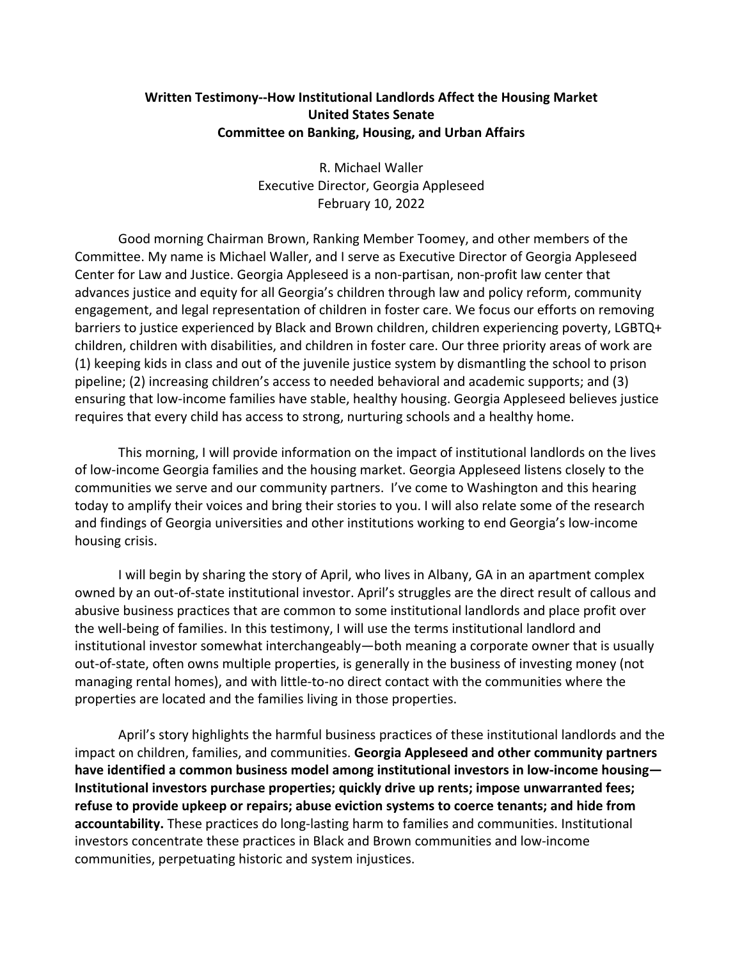## **Written Testimony--How Institutional Landlords Affect the Housing Market United States Senate Committee on Banking, Housing, and Urban Affairs**

R. Michael Waller Executive Director, Georgia Appleseed February 10, 2022

Good morning Chairman Brown, Ranking Member Toomey, and other members of the Committee. My name is Michael Waller, and I serve as Executive Director of Georgia Appleseed Center for Law and Justice. Georgia Appleseed is a non-partisan, non-profit law center that advances justice and equity for all Georgia's children through law and policy reform, community engagement, and legal representation of children in foster care. We focus our efforts on removing barriers to justice experienced by Black and Brown children, children experiencing poverty, LGBTQ+ children, children with disabilities, and children in foster care. Our three priority areas of work are (1) keeping kids in class and out of the juvenile justice system by dismantling the school to prison pipeline; (2) increasing children's access to needed behavioral and academic supports; and (3) ensuring that low-income families have stable, healthy housing. Georgia Appleseed believes justice requires that every child has access to strong, nurturing schools and a healthy home.

This morning, I will provide information on the impact of institutional landlords on the lives of low-income Georgia families and the housing market. Georgia Appleseed listens closely to the communities we serve and our community partners. I've come to Washington and this hearing today to amplify their voices and bring their stories to you. I will also relate some of the research and findings of Georgia universities and other institutions working to end Georgia's low-income housing crisis.

I will begin by sharing the story of April, who lives in Albany, GA in an apartment complex owned by an out-of-state institutional investor. April's struggles are the direct result of callous and abusive business practices that are common to some institutional landlords and place profit over the well-being of families. In this testimony, I will use the terms institutional landlord and institutional investor somewhat interchangeably—both meaning a corporate owner that is usually out-of-state, often owns multiple properties, is generally in the business of investing money (not managing rental homes), and with little-to-no direct contact with the communities where the properties are located and the families living in those properties.

April's story highlights the harmful business practices of these institutional landlords and the impact on children, families, and communities. **Georgia Appleseed and other community partners have identified a common business model among institutional investors in low-income housing— Institutional investors purchase properties; quickly drive up rents; impose unwarranted fees; refuse to provide upkeep or repairs; abuse eviction systems to coerce tenants; and hide from accountability.** These practices do long-lasting harm to families and communities. Institutional investors concentrate these practices in Black and Brown communities and low-income communities, perpetuating historic and system injustices.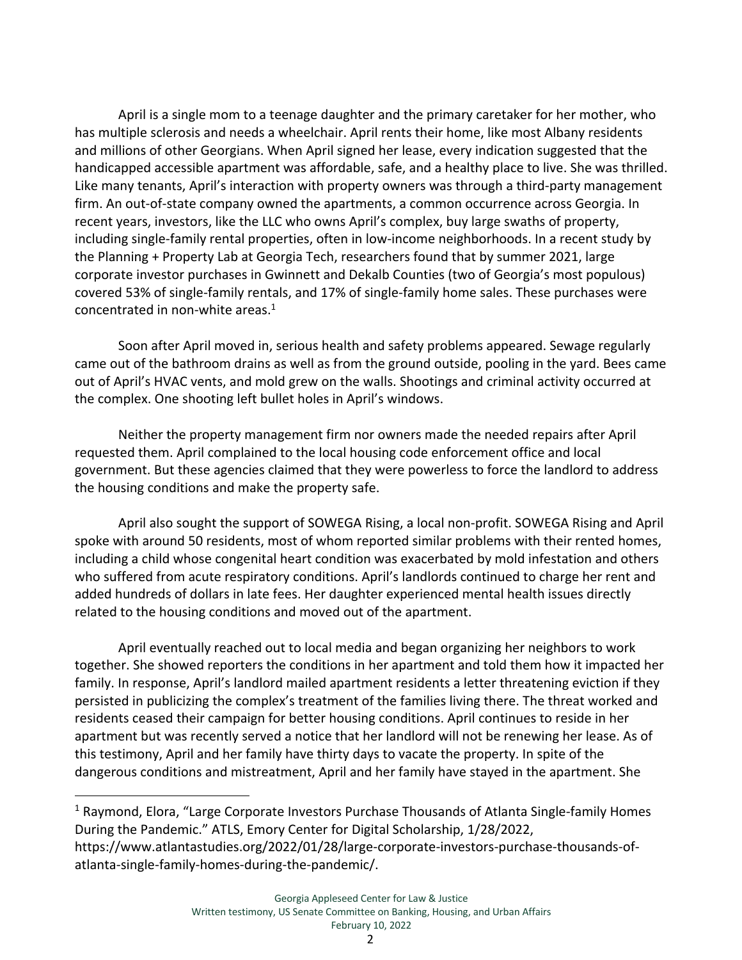April is a single mom to a teenage daughter and the primary caretaker for her mother, who has multiple sclerosis and needs a wheelchair. April rents their home, like most Albany residents and millions of other Georgians. When April signed her lease, every indication suggested that the handicapped accessible apartment was affordable, safe, and a healthy place to live. She was thrilled. Like many tenants, April's interaction with property owners was through a third-party management firm. An out-of-state company owned the apartments, a common occurrence across Georgia. In recent years, investors, like the LLC who owns April's complex, buy large swaths of property, including single-family rental properties, often in low-income neighborhoods. In a recent study by the Planning + Property Lab at Georgia Tech, researchers found that by summer 2021, large corporate investor purchases in Gwinnett and Dekalb Counties (two of Georgia's most populous) covered 53% of single-family rentals, and 17% of single-family home sales. These purchases were concentrated in non-white areas. $1$ 

Soon after April moved in, serious health and safety problems appeared. Sewage regularly came out of the bathroom drains as well as from the ground outside, pooling in the yard. Bees came out of April's HVAC vents, and mold grew on the walls. Shootings and criminal activity occurred at the complex. One shooting left bullet holes in April's windows.

Neither the property management firm nor owners made the needed repairs after April requested them. April complained to the local housing code enforcement office and local government. But these agencies claimed that they were powerless to force the landlord to address the housing conditions and make the property safe.

April also sought the support of SOWEGA Rising, a local non-profit. SOWEGA Rising and April spoke with around 50 residents, most of whom reported similar problems with their rented homes, including a child whose congenital heart condition was exacerbated by mold infestation and others who suffered from acute respiratory conditions. April's landlords continued to charge her rent and added hundreds of dollars in late fees. Her daughter experienced mental health issues directly related to the housing conditions and moved out of the apartment.

April eventually reached out to local media and began organizing her neighbors to work together. She showed reporters the conditions in her apartment and told them how it impacted her family. In response, April's landlord mailed apartment residents a letter threatening eviction if they persisted in publicizing the complex's treatment of the families living there. The threat worked and residents ceased their campaign for better housing conditions. April continues to reside in her apartment but was recently served a notice that her landlord will not be renewing her lease. As of this testimony, April and her family have thirty days to vacate the property. In spite of the dangerous conditions and mistreatment, April and her family have stayed in the apartment. She

<sup>&</sup>lt;sup>1</sup> Raymond, Elora, "Large Corporate Investors Purchase Thousands of Atlanta Single-family Homes During the Pandemic." ATLS, Emory Center for Digital Scholarship, 1/28/2022, https://www.atlantastudies.org/2022/01/28/large-corporate-investors-purchase-thousands-ofatlanta-single-family-homes-during-the-pandemic/.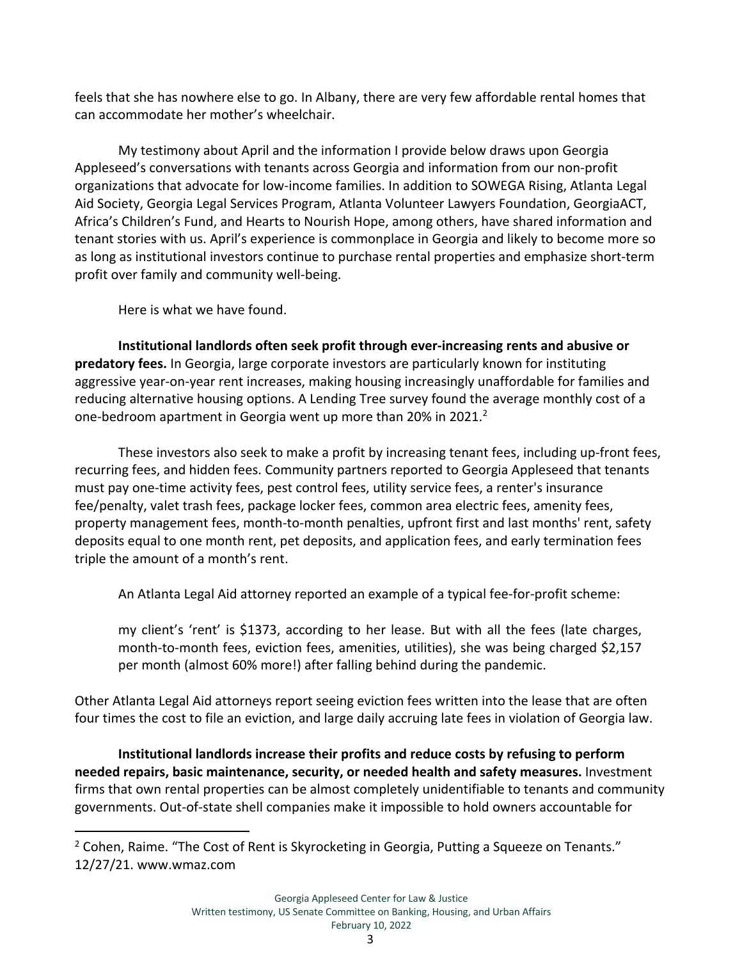feels that she has nowhere else to go. In Albany, there are very few affordable rental homes that can accommodate her mother's wheelchair.

My testimony about April and the information I provide below draws upon Georgia Appleseed's conversations with tenants across Georgia and information from our non-profit organizations that advocate for low-income families. In addition to SOWEGA Rising, Atlanta Legal Aid Society, Georgia Legal Services Program, Atlanta Volunteer Lawyers Foundation, GeorgiaACT, Africa's Children's Fund, and Hearts to Nourish Hope, among others, have shared information and tenant stories with us. April's experience is commonplace in Georgia and likely to become more so as long as institutional investors continue to purchase rental properties and emphasize short-term profit over family and community well-being.

Here is what we have found.

**Institutional landlords often seek profit through ever-increasing rents and abusive or predatory fees.** In Georgia, large corporate investors are particularly known for instituting aggressive year-on-year rent increases, making housing increasingly unaffordable for families and reducing alternative housing options. A Lending Tree survey found the average monthly cost of a one-bedroom apartment in Georgia went up more than 20% in 2021.<sup>2</sup>

These investors also seek to make a profit by increasing tenant fees, including up-front fees, recurring fees, and hidden fees. Community partners reported to Georgia Appleseed that tenants must pay one-time activity fees, pest control fees, utility service fees, a renter's insurance fee/penalty, valet trash fees, package locker fees, common area electric fees, amenity fees, property management fees, month-to-month penalties, upfront first and last months' rent, safety deposits equal to one month rent, pet deposits, and application fees, and early termination fees triple the amount of a month's rent.

An Atlanta Legal Aid attorney reported an example of a typical fee-for-profit scheme:

my client's 'rent' is \$1373, according to her lease. But with all the fees (late charges, month-to-month fees, eviction fees, amenities, utilities), she was being charged \$2,157 per month (almost 60% more!) after falling behind during the pandemic.

Other Atlanta Legal Aid attorneys report seeing eviction fees written into the lease that are often four times the cost to file an eviction, and large daily accruing late fees in violation of Georgia law.

**Institutional landlords increase their profits and reduce costs by refusing to perform needed repairs, basic maintenance, security, or needed health and safety measures.** Investment firms that own rental properties can be almost completely unidentifiable to tenants and community governments. Out-of-state shell companies make it impossible to hold owners accountable for

Georgia Appleseed Center for Law & Justice

Written testimony, US Senate Committee on Banking, Housing, and Urban Affairs

February 10, 2022

 $2$  Cohen, Raime. "The Cost of Rent is Skyrocketing in Georgia, Putting a Squeeze on Tenants." 12/27/21. www.wmaz.com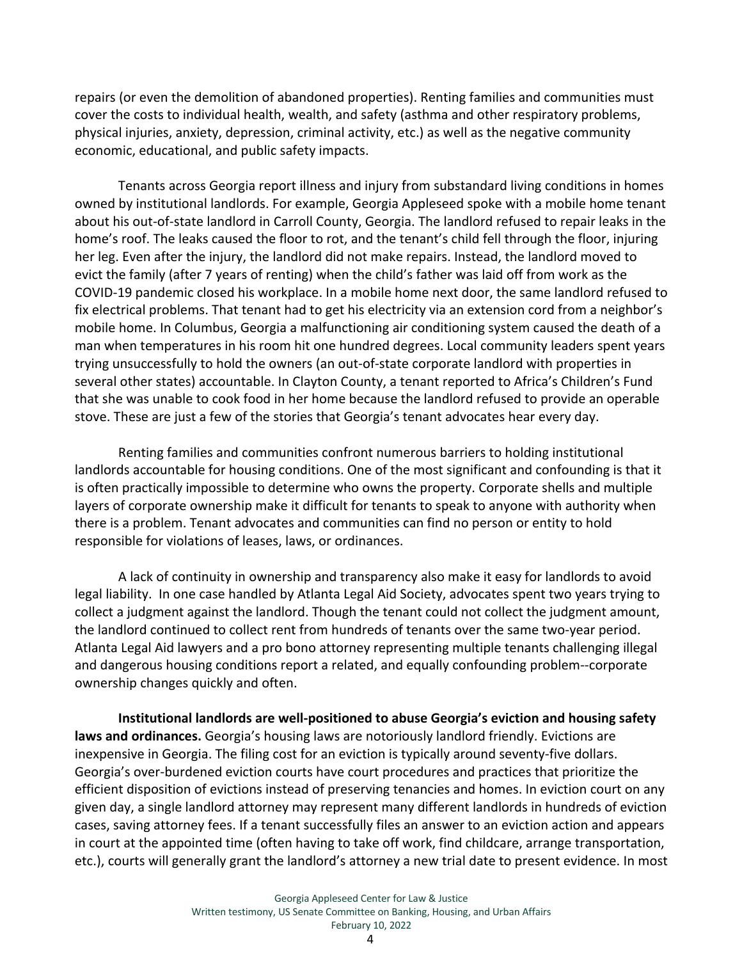repairs (or even the demolition of abandoned properties). Renting families and communities must cover the costs to individual health, wealth, and safety (asthma and other respiratory problems, physical injuries, anxiety, depression, criminal activity, etc.) as well as the negative community economic, educational, and public safety impacts.

Tenants across Georgia report illness and injury from substandard living conditions in homes owned by institutional landlords. For example, Georgia Appleseed spoke with a mobile home tenant about his out-of-state landlord in Carroll County, Georgia. The landlord refused to repair leaks in the home's roof. The leaks caused the floor to rot, and the tenant's child fell through the floor, injuring her leg. Even after the injury, the landlord did not make repairs. Instead, the landlord moved to evict the family (after 7 years of renting) when the child's father was laid off from work as the COVID-19 pandemic closed his workplace. In a mobile home next door, the same landlord refused to fix electrical problems. That tenant had to get his electricity via an extension cord from a neighbor's mobile home. In Columbus, Georgia a malfunctioning air conditioning system caused the death of a man when temperatures in his room hit one hundred degrees. Local community leaders spent years trying unsuccessfully to hold the owners (an out-of-state corporate landlord with properties in several other states) accountable. In Clayton County, a tenant reported to Africa's Children's Fund that she was unable to cook food in her home because the landlord refused to provide an operable stove. These are just a few of the stories that Georgia's tenant advocates hear every day.

Renting families and communities confront numerous barriers to holding institutional landlords accountable for housing conditions. One of the most significant and confounding is that it is often practically impossible to determine who owns the property. Corporate shells and multiple layers of corporate ownership make it difficult for tenants to speak to anyone with authority when there is a problem. Tenant advocates and communities can find no person or entity to hold responsible for violations of leases, laws, or ordinances.

A lack of continuity in ownership and transparency also make it easy for landlords to avoid legal liability. In one case handled by Atlanta Legal Aid Society, advocates spent two years trying to collect a judgment against the landlord. Though the tenant could not collect the judgment amount, the landlord continued to collect rent from hundreds of tenants over the same two-year period. Atlanta Legal Aid lawyers and a pro bono attorney representing multiple tenants challenging illegal and dangerous housing conditions report a related, and equally confounding problem--corporate ownership changes quickly and often.

**Institutional landlords are well-positioned to abuse Georgia's eviction and housing safety laws and ordinances.** Georgia's housing laws are notoriously landlord friendly. Evictions are inexpensive in Georgia. The filing cost for an eviction is typically around seventy-five dollars. Georgia's over-burdened eviction courts have court procedures and practices that prioritize the efficient disposition of evictions instead of preserving tenancies and homes. In eviction court on any given day, a single landlord attorney may represent many different landlords in hundreds of eviction cases, saving attorney fees. If a tenant successfully files an answer to an eviction action and appears in court at the appointed time (often having to take off work, find childcare, arrange transportation, etc.), courts will generally grant the landlord's attorney a new trial date to present evidence. In most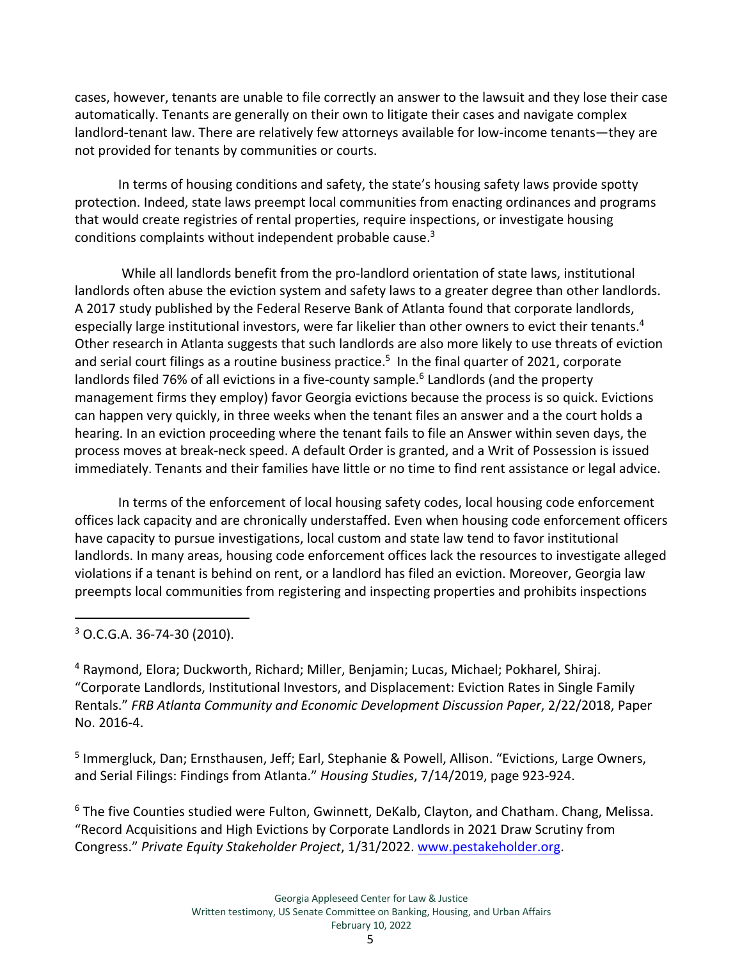cases, however, tenants are unable to file correctly an answer to the lawsuit and they lose their case automatically. Tenants are generally on their own to litigate their cases and navigate complex landlord-tenant law. There are relatively few attorneys available for low-income tenants—they are not provided for tenants by communities or courts.

In terms of housing conditions and safety, the state's housing safety laws provide spotty protection. Indeed, state laws preempt local communities from enacting ordinances and programs that would create registries of rental properties, require inspections, or investigate housing conditions complaints without independent probable cause.3

While all landlords benefit from the pro-landlord orientation of state laws, institutional landlords often abuse the eviction system and safety laws to a greater degree than other landlords. A 2017 study published by the Federal Reserve Bank of Atlanta found that corporate landlords, especially large institutional investors, were far likelier than other owners to evict their tenants.<sup>4</sup> Other research in Atlanta suggests that such landlords are also more likely to use threats of eviction and serial court filings as a routine business practice.<sup>5</sup> In the final quarter of 2021, corporate landlords filed 76% of all evictions in a five-county sample.<sup>6</sup> Landlords (and the property management firms they employ) favor Georgia evictions because the process is so quick. Evictions can happen very quickly, in three weeks when the tenant files an answer and a the court holds a hearing. In an eviction proceeding where the tenant fails to file an Answer within seven days, the process moves at break-neck speed. A default Order is granted, and a Writ of Possession is issued immediately. Tenants and their families have little or no time to find rent assistance or legal advice.

In terms of the enforcement of local housing safety codes, local housing code enforcement offices lack capacity and are chronically understaffed. Even when housing code enforcement officers have capacity to pursue investigations, local custom and state law tend to favor institutional landlords. In many areas, housing code enforcement offices lack the resources to investigate alleged violations if a tenant is behind on rent, or a landlord has filed an eviction. Moreover, Georgia law preempts local communities from registering and inspecting properties and prohibits inspections

<sup>3</sup> O.C.G.A. 36-74-30 (2010).

<sup>4</sup> Raymond, Elora; Duckworth, Richard; Miller, Benjamin; Lucas, Michael; Pokharel, Shiraj. "Corporate Landlords, Institutional Investors, and Displacement: Eviction Rates in Single Family Rentals." *FRB Atlanta Community and Economic Development Discussion Paper*, 2/22/2018, Paper No. 2016-4.

<sup>5</sup> Immergluck, Dan; Ernsthausen, Jeff; Earl, Stephanie & Powell, Allison. "Evictions, Large Owners, and Serial Filings: Findings from Atlanta." *Housing Studies*, 7/14/2019, page 923-924.

 $6$  The five Counties studied were Fulton, Gwinnett, DeKalb, Clayton, and Chatham. Chang, Melissa. "Record Acquisitions and High Evictions by Corporate Landlords in 2021 Draw Scrutiny from Congress." *Private Equity Stakeholder Project*, 1/31/2022. www.pestakeholder.org.